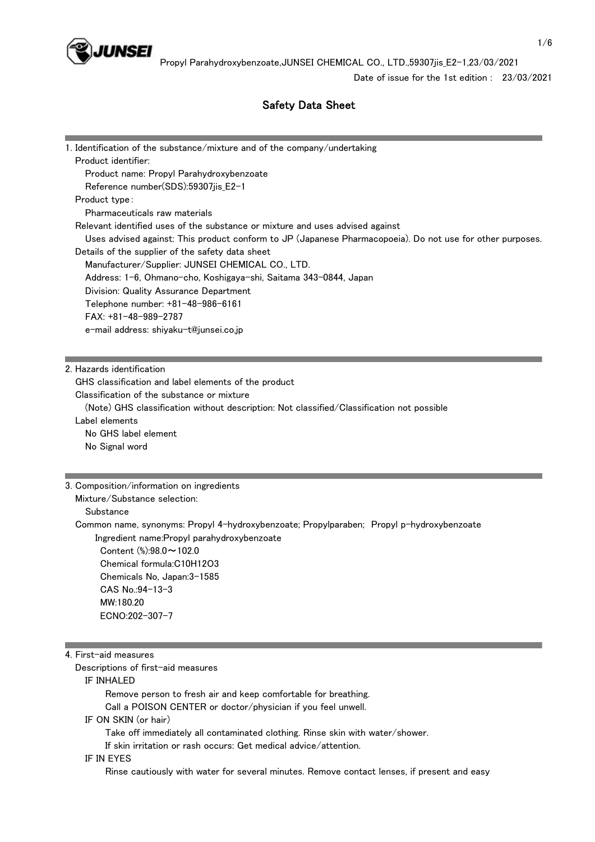

Date of issue for the 1st edition : 23/03/2021

# Safety Data Sheet

| 1. Identification of the substance/mixture and of the company/undertaking                                 |
|-----------------------------------------------------------------------------------------------------------|
| Product identifier:                                                                                       |
| Product name: Propyl Parahydroxybenzoate                                                                  |
| Reference number(SDS):59307jis_E2-1                                                                       |
| Product type:                                                                                             |
| Pharmaceuticals raw materials                                                                             |
| Relevant identified uses of the substance or mixture and uses advised against                             |
| Uses advised against: This product conform to JP (Japanese Pharmacopoeia). Do not use for other purposes. |
| Details of the supplier of the safety data sheet                                                          |
| Manufacturer/Supplier: JUNSEI CHEMICAL CO., LTD.                                                          |
| Address: 1-6, Ohmano-cho, Koshigaya-shi, Saitama 343-0844, Japan                                          |
| Division: Quality Assurance Department                                                                    |
| Telephone number: +81-48-986-6161                                                                         |
| FAX: +81-48-989-2787                                                                                      |
| e-mail address: shiyaku-t@junsei.co.jp                                                                    |
|                                                                                                           |
|                                                                                                           |
| 2. Hazards identification                                                                                 |
| GHS classification and label elements of the product                                                      |
| Classification of the substance or mixture                                                                |
| (Note) GHS classification without description: Not classified/Classification not possible                 |
| Label elements                                                                                            |
| No GHS label element                                                                                      |
| No Signal word                                                                                            |
|                                                                                                           |
| 3. Composition/information on ingredients                                                                 |
| Mixture/Substance selection:                                                                              |
| Substance                                                                                                 |
| Common name, synonyms: Propyl 4-hydroxybenzoate; Propylparaben; Propyl p-hydroxybenzoate                  |
| Ingredient name: Propyl parahydroxybenzoate                                                               |
| Content (%):98.0~102.0                                                                                    |
| Chemical formula:C10H12O3                                                                                 |
| Chemicals No, Japan: 3-1585                                                                               |
| CAS No.: 94-13-3                                                                                          |
| MW:180.20                                                                                                 |
| ECNO:202-307-7                                                                                            |
|                                                                                                           |
|                                                                                                           |
| 4. First-aid measures                                                                                     |
| Descriptions of first-aid measures                                                                        |
| IF INHALED                                                                                                |
| Remove person to fresh air and keep comfortable for breathing.                                            |
| Call a POISON CENTER or doctor/physician if you feel unwell.                                              |

IF ON SKIN (or hair)

Take off immediately all contaminated clothing. Rinse skin with water/shower.

If skin irritation or rash occurs: Get medical advice/attention.

#### IF IN EYES

Rinse cautiously with water for several minutes. Remove contact lenses, if present and easy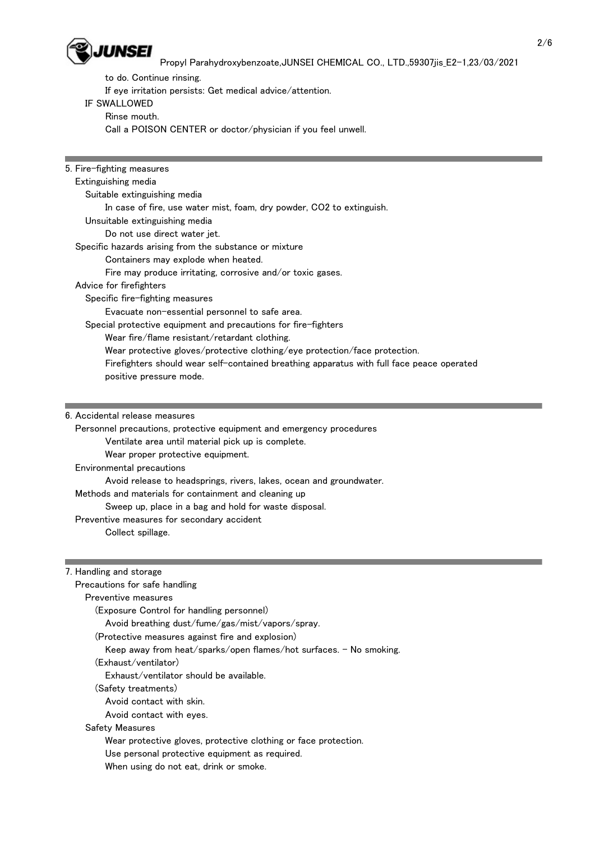

to do. Continue rinsing.

If eye irritation persists: Get medical advice/attention.

# IF SWALLOWED

Rinse mouth.

Call a POISON CENTER or doctor/physician if you feel unwell.

5. Fire-fighting measures Extinguishing media Suitable extinguishing media In case of fire, use water mist, foam, dry powder, CO2 to extinguish. Unsuitable extinguishing media Do not use direct water jet. Specific hazards arising from the substance or mixture Containers may explode when heated. Fire may produce irritating, corrosive and/or toxic gases. Advice for firefighters Specific fire-fighting measures Evacuate non-essential personnel to safe area. Special protective equipment and precautions for fire-fighters Wear fire/flame resistant/retardant clothing. Wear protective gloves/protective clothing/eye protection/face protection. Firefighters should wear self-contained breathing apparatus with full face peace operated positive pressure mode.

6. Accidental release measures

 Personnel precautions, protective equipment and emergency procedures Ventilate area until material pick up is complete. Wear proper protective equipment. Environmental precautions Avoid release to headsprings, rivers, lakes, ocean and groundwater. Methods and materials for containment and cleaning up Sweep up, place in a bag and hold for waste disposal. Preventive measures for secondary accident Collect spillage.

7. Handling and storage

| Precautions for safe handling                                      |  |
|--------------------------------------------------------------------|--|
| Preventive measures                                                |  |
| (Exposure Control for handling personnel)                          |  |
| Avoid breathing dust/fume/gas/mist/vapors/spray.                   |  |
| (Protective measures against fire and explosion)                   |  |
| Keep away from heat/sparks/open flames/hot surfaces. - No smoking. |  |
| (Exhaust/ventilator)                                               |  |
| Exhaust/ventilator should be available.                            |  |
| (Safety treatments)                                                |  |
| Avoid contact with skin.                                           |  |
| Avoid contact with eyes.                                           |  |
| Safety Measures                                                    |  |
| Wear protective gloves, protective clothing or face protection.    |  |
| Use personal protective equipment as required.                     |  |
| When using do not eat, drink or smoke.                             |  |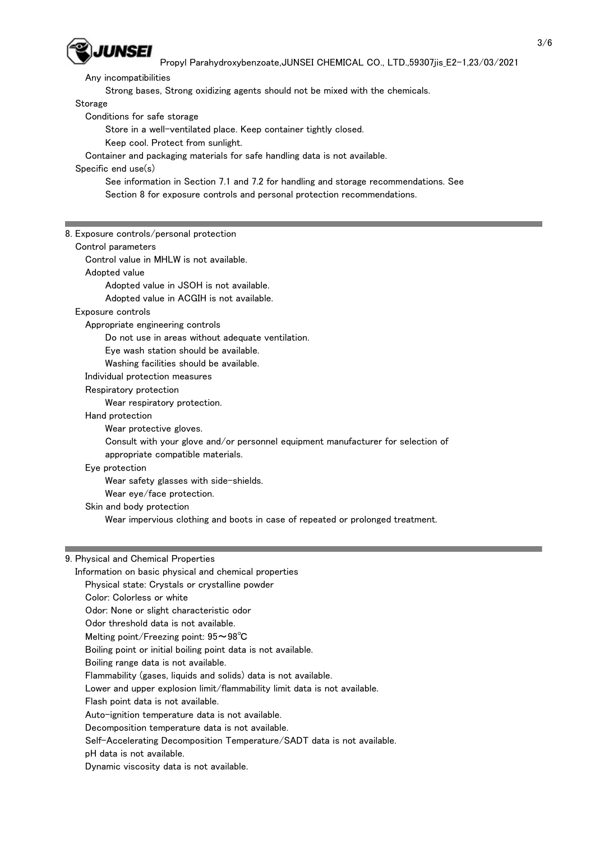

Any incompatibilities

Strong bases, Strong oxidizing agents should not be mixed with the chemicals.

Storage

Conditions for safe storage

Store in a well-ventilated place. Keep container tightly closed.

Keep cool. Protect from sunlight.

Container and packaging materials for safe handling data is not available.

Specific end use(s)

 See information in Section 7.1 and 7.2 for handling and storage recommendations. See Section 8 for exposure controls and personal protection recommendations.

8. Exposure controls/personal protection Control parameters Control value in MHLW is not available. Adopted value Adopted value in JSOH is not available. Adopted value in ACGIH is not available. Exposure controls Appropriate engineering controls Do not use in areas without adequate ventilation. Eye wash station should be available. Washing facilities should be available. Individual protection measures Respiratory protection Wear respiratory protection. Hand protection Wear protective gloves. Consult with your glove and/or personnel equipment manufacturer for selection of appropriate compatible materials. Eye protection Wear safety glasses with side-shields. Wear eye/face protection. Skin and body protection Wear impervious clothing and boots in case of repeated or prolonged treatment.

#### 9. Physical and Chemical Properties

 Information on basic physical and chemical properties Physical state: Crystals or crystalline powder Color: Colorless or white Odor: None or slight characteristic odor Odor threshold data is not available. Melting point/Freezing point: 95~98℃ Boiling point or initial boiling point data is not available. Boiling range data is not available. Flammability (gases, liquids and solids) data is not available. Lower and upper explosion limit/flammability limit data is not available. Flash point data is not available. Auto-ignition temperature data is not available. Decomposition temperature data is not available. Self-Accelerating Decomposition Temperature/SADT data is not available. pH data is not available.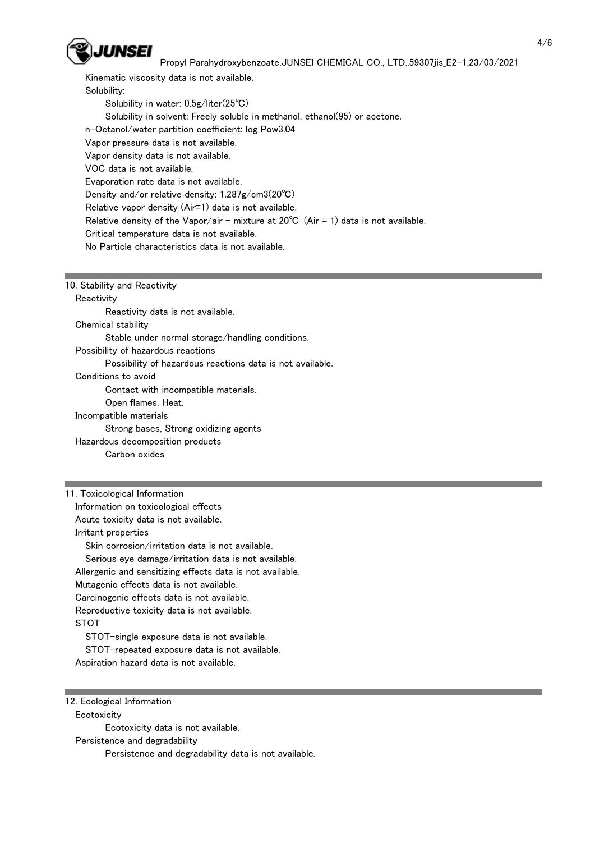

 Kinematic viscosity data is not available. Solubility: Solubility in water: 0.5g/liter(25℃) Solubility in solvent: Freely soluble in methanol, ethanol(95) or acetone. n-Octanol/water partition coefficient: log Pow3.04 Vapor pressure data is not available. Vapor density data is not available. VOC data is not available. Evaporation rate data is not available. Density and/or relative density: 1.287g/cm3(20℃) Relative vapor density (Air=1) data is not available. Relative density of the Vapor/air - mixture at  $20^{\circ}C$  (Air = 1) data is not available. Critical temperature data is not available. No Particle characteristics data is not available.

10. Stability and Reactivity

**Reactivity** 

Reactivity data is not available.

Chemical stability

Stable under normal storage/handling conditions.

Possibility of hazardous reactions

Possibility of hazardous reactions data is not available.

Conditions to avoid

Contact with incompatible materials.

Open flames. Heat.

Incompatible materials

Strong bases, Strong oxidizing agents

Hazardous decomposition products

Carbon oxides

11. Toxicological Information

 Information on toxicological effects Acute toxicity data is not available.

Irritant properties

Skin corrosion/irritation data is not available.

Serious eye damage/irritation data is not available.

Allergenic and sensitizing effects data is not available.

Mutagenic effects data is not available.

Carcinogenic effects data is not available.

Reproductive toxicity data is not available.

STOT

STOT-single exposure data is not available.

STOT-repeated exposure data is not available.

Aspiration hazard data is not available.

#### 12. Ecological Information

**Ecotoxicity** 

Ecotoxicity data is not available.

Persistence and degradability

Persistence and degradability data is not available.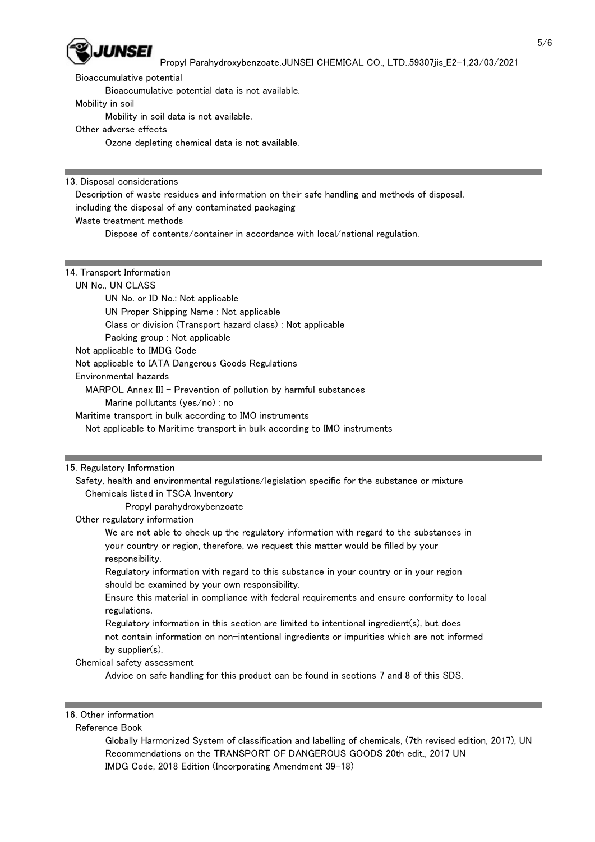

Bioaccumulative potential

Bioaccumulative potential data is not available.

#### Mobility in soil

Mobility in soil data is not available.

# Other adverse effects

Ozone depleting chemical data is not available.

13. Disposal considerations

Description of waste residues and information on their safe handling and methods of disposal,

including the disposal of any contaminated packaging

### Waste treatment methods

Dispose of contents/container in accordance with local/national regulation.

### 14. Transport Information

### UN No., UN CLASS

 UN No. or ID No.: Not applicable UN Proper Shipping Name : Not applicable Class or division (Transport hazard class) : Not applicable Packing group : Not applicable

Not applicable to IMDG Code

Not applicable to IATA Dangerous Goods Regulations

Environmental hazards

MARPOL Annex III - Prevention of pollution by harmful substances

Marine pollutants (yes/no) : no

Maritime transport in bulk according to IMO instruments

Not applicable to Maritime transport in bulk according to IMO instruments

### 15. Regulatory Information

 Safety, health and environmental regulations/legislation specific for the substance or mixture Chemicals listed in TSCA Inventory

Propyl parahydroxybenzoate

### Other regulatory information

 We are not able to check up the regulatory information with regard to the substances in your country or region, therefore, we request this matter would be filled by your responsibility.

 Regulatory information with regard to this substance in your country or in your region should be examined by your own responsibility.

 Ensure this material in compliance with federal requirements and ensure conformity to local regulations.

 Regulatory information in this section are limited to intentional ingredient(s), but does not contain information on non-intentional ingredients or impurities which are not informed by supplier(s).

### Chemical safety assessment

Advice on safe handling for this product can be found in sections 7 and 8 of this SDS.

## 16. Other information

### Reference Book

 Globally Harmonized System of classification and labelling of chemicals, (7th revised edition, 2017), UN Recommendations on the TRANSPORT OF DANGEROUS GOODS 20th edit., 2017 UN IMDG Code, 2018 Edition (Incorporating Amendment 39-18)